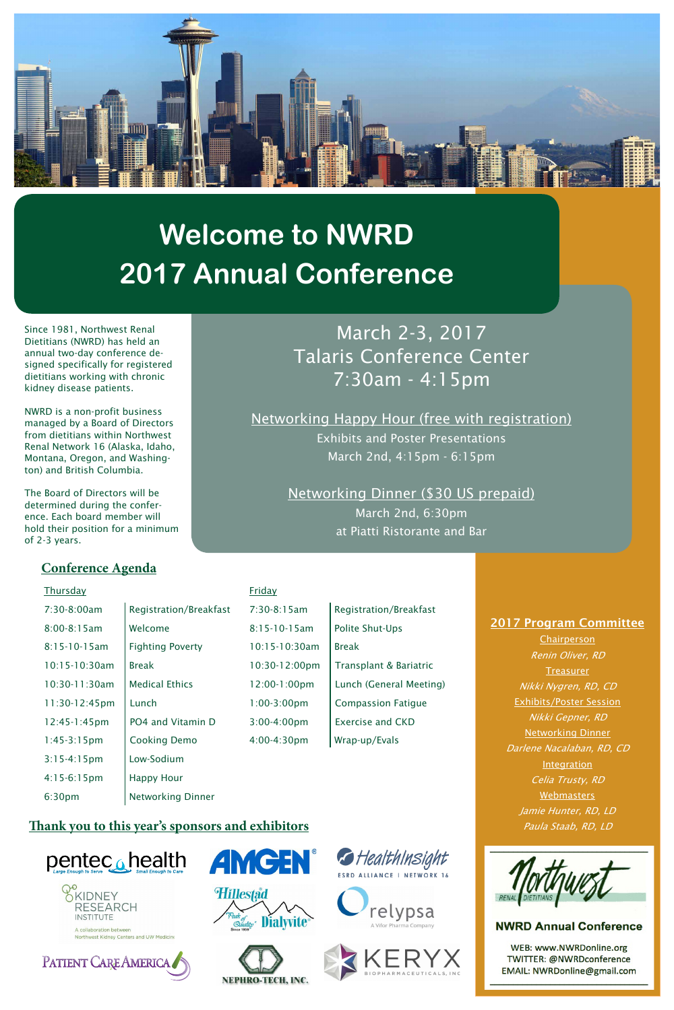Since 1981, Northwest Renal Dietitians (NWRD) has held an annual two-day conference designed specifically for registered dietitians working with chronic kidney disease patients.

NWRD is a non-profit business managed by a Board of Directors from dietitians within Northwest Renal Network 16 (Alaska, Idaho, Montana, Oregon, and Washington) and British Columbia.

The Board of Directors will be determined during the conference. Each board member will hold their position for a minimum of 2-3 years.

> Jamie Hunter, RD, LD Paula Staab, RD, LD



### **NWRD Annual Conference**

WEB: www.NWRDonline.org **TWITTER: @NWRDconference** EMAIL: NWRDonline@gmail.com









**S** HealthInsight

ESRD ALLIANCE | NETWORK 16

A Vifor Pharma Company





March 2-3, 2017

# Talaris Conference Center 7:30am - 4:15pm

## Networking Happy Hour (free with registration) Exhibits and Poster Presentations March 2nd, 4:15pm - 6:15pm

## Networking Dinner (\$30 US prepaid) March 2nd, 6:30pm at Piatti Ristorante and Bar



# **Welcome to NWRD 2017 Annual Conference**

| Thursday              |                          | Friday                  |                           |                                                       |
|-----------------------|--------------------------|-------------------------|---------------------------|-------------------------------------------------------|
| 7:30-8:00am           | Registration/Breakfast   | 7:30-8:15am             | Registration/Breakfast    |                                                       |
| $8:00 - 8:15$ am      | Welcome                  | 8:15-10-15am            | <b>Polite Shut-Ups</b>    | <b>2017 Program Committee</b>                         |
| 8:15-10-15am          | <b>Fighting Poverty</b>  | $10:15 - 10:30$ am      | <b>Break</b>              | Chairperson<br>Renin Oliver, RD                       |
| 10:15-10:30am         | <b>Break</b>             | 10:30-12:00pm           | Transplant & Bariatric    | Treasurer                                             |
| $10:30-11:30am$       | <b>Medical Ethics</b>    | $12:00-1:00$ pm         | Lunch (General Meeting)   | Nikki Nygren, RD, CD                                  |
| 11:30-12:45pm         | Lunch                    | $1:00 - 3:00$ pm        | <b>Compassion Fatique</b> | <b>Exhibits/Poster Session</b>                        |
| 12:45-1:45pm          | PO4 and Vitamin D        | 3:00-4:00pm             | <b>Exercise and CKD</b>   | Nikki Gepner, RD                                      |
| $1:45-3:15 \text{pm}$ | <b>Cooking Demo</b>      | $4:00 - 4:30 \text{pm}$ | Wrap-up/Evals             | <b>Networking Dinner</b><br>Darlene Nacalaban, RD, CD |
| $3:15 - 4:15$ pm      | Low-Sodium               |                         |                           | <b>Integration</b>                                    |
| $4:15-6:15 \text{pm}$ | <b>Happy Hour</b>        |                         |                           | Celia Trusty, RD                                      |
| 6:30pm                | <b>Networking Dinner</b> |                         |                           | Webmasters                                            |

## Thank you to this year's sponsors and exhibitors





A collaboration between Northwest Kidney Centers and UW Medicine

## **Conference Agenda**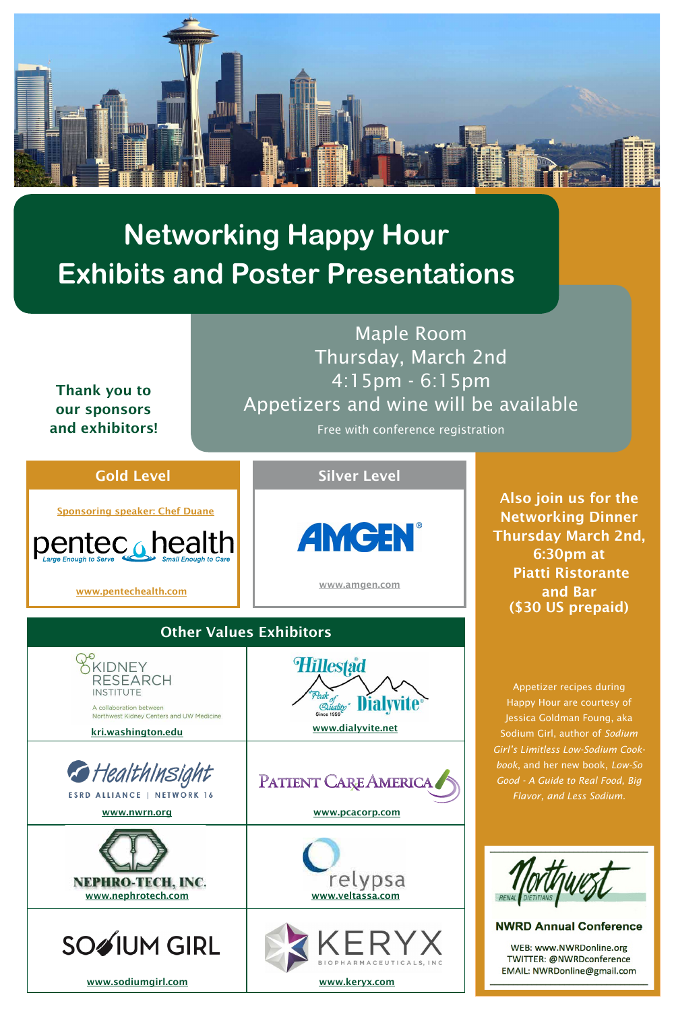# Thank you to our sponsors and exhibitors!

Also join us for the Networking Dinner Thursday March 2nd, 6:30pm at Piatti Ristorante and Bar (\$30 US prepaid)

Maple Room

# Thursday, March 2nd 4:15pm - 6:15pm Appetizers and wine will be available





Free with conference registration



# **Networking Happy Hour Exhibits and Poster Presentations**

## Gold Level

Sponsoring speaker: Chef Duane



Silver Level

www.amgen.com

## Other Values Exhibitors

www.pentechealth.com

AMGEN®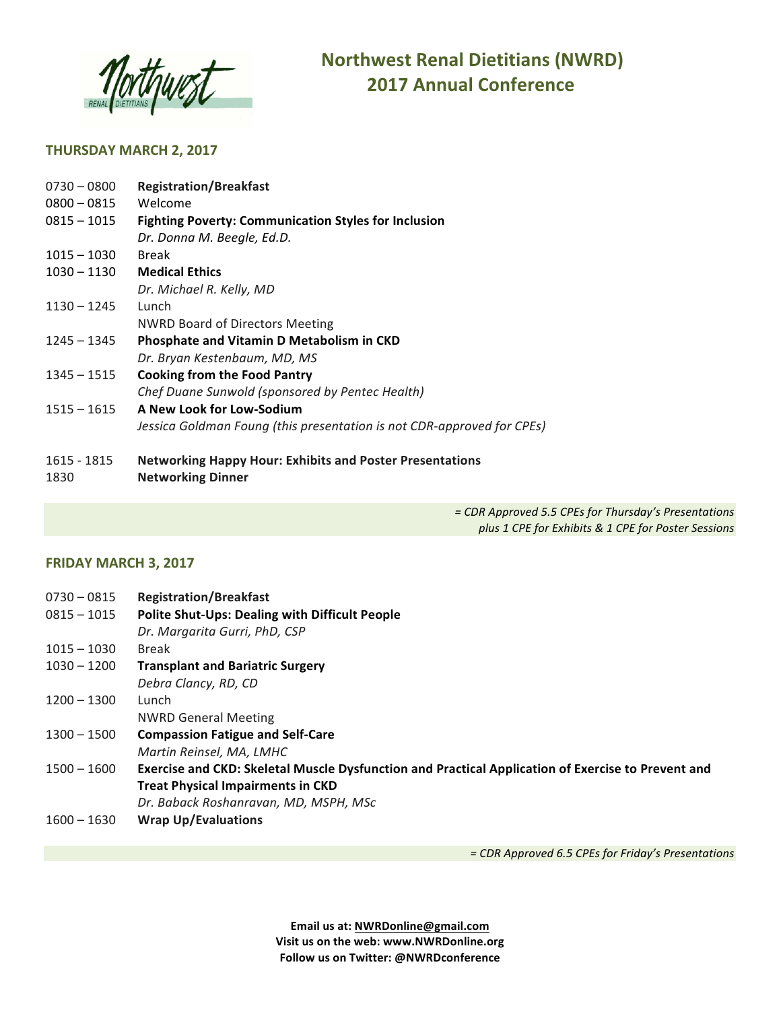

**Northwest Renal Dietitians (NWRD) 2017 Annual Conference**

#### **THURSDAY MARCH 2, 2017**

| $0730 - 0800$ | <b>Registration/Breakfast</b>                                          |  |  |  |
|---------------|------------------------------------------------------------------------|--|--|--|
| $0800 - 0815$ | Welcome                                                                |  |  |  |
| $0815 - 1015$ | <b>Fighting Poverty: Communication Styles for Inclusion</b>            |  |  |  |
|               | Dr. Donna M. Beegle, Ed.D.                                             |  |  |  |
| $1015 - 1030$ | Break                                                                  |  |  |  |
| $1030 - 1130$ | <b>Medical Ethics</b>                                                  |  |  |  |
|               | Dr. Michael R. Kelly, MD                                               |  |  |  |
| $1130 - 1245$ | Lunch                                                                  |  |  |  |
|               | <b>NWRD Board of Directors Meeting</b>                                 |  |  |  |
| $1245 - 1345$ | <b>Phosphate and Vitamin D Metabolism in CKD</b>                       |  |  |  |
|               | Dr. Bryan Kestenbaum, MD, MS                                           |  |  |  |
| $1345 - 1515$ | <b>Cooking from the Food Pantry</b>                                    |  |  |  |
|               | Chef Duane Sunwold (sponsored by Pentec Health)                        |  |  |  |
| $1515 - 1615$ | A New Look for Low-Sodium                                              |  |  |  |
|               | Jessica Goldman Foung (this presentation is not CDR-approved for CPEs) |  |  |  |
| 1615 - 1815   | <b>Networking Happy Hour: Exhibits and Poster Presentations</b>        |  |  |  |

1830 **Networking Dinner** 

*= CDR Approved 5.5 CPEs for Thursday's Presentations plus 1 CPE for Exhibits & 1 CPE for Poster Sessions*

#### **FRIDAY MARCH 3, 2017**

| $0730 - 0815$ | <b>Registration/Breakfast</b>                                                                      |  |  |
|---------------|----------------------------------------------------------------------------------------------------|--|--|
| $0815 - 1015$ | <b>Polite Shut-Ups: Dealing with Difficult People</b>                                              |  |  |
|               | Dr. Margarita Gurri, PhD, CSP                                                                      |  |  |
| $1015 - 1030$ | Break                                                                                              |  |  |
| $1030 - 1200$ | <b>Transplant and Bariatric Surgery</b>                                                            |  |  |
|               | Debra Clancy, RD, CD                                                                               |  |  |
| $1200 - 1300$ | Lunch                                                                                              |  |  |
|               | <b>NWRD General Meeting</b>                                                                        |  |  |
| $1300 - 1500$ | <b>Compassion Fatigue and Self-Care</b>                                                            |  |  |
|               | Martin Reinsel, MA, LMHC                                                                           |  |  |
| $1500 - 1600$ | Exercise and CKD: Skeletal Muscle Dysfunction and Practical Application of Exercise to Prevent and |  |  |
|               | <b>Treat Physical Impairments in CKD</b>                                                           |  |  |
|               | Dr. Baback Roshanravan, MD, MSPH, MSc                                                              |  |  |
| $1600 - 1630$ | <b>Wrap Up/Evaluations</b>                                                                         |  |  |

*= CDR Approved 6.5 CPEs for Friday's Presentations*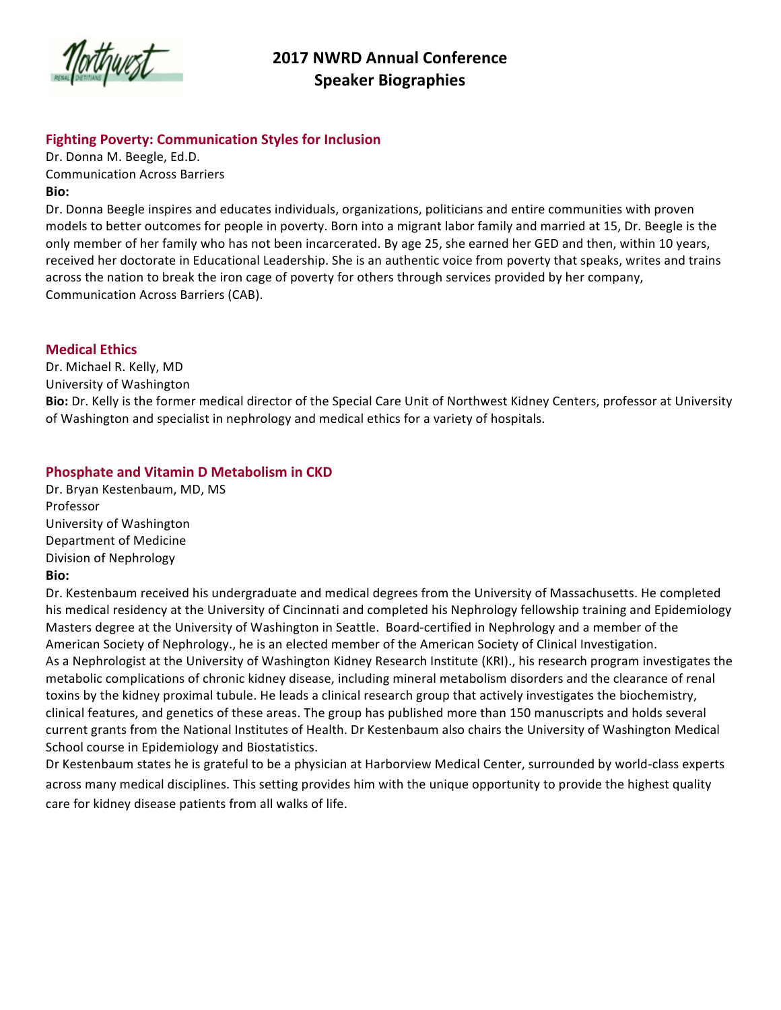

#### **Fighting Poverty: Communication Styles for Inclusion**

Dr. Donna M. Beegle, Ed.D. Communication Across Barriers **Bio:** 

Dr. Donna Beegle inspires and educates individuals, organizations, politicians and entire communities with proven models to better outcomes for people in poverty. Born into a migrant labor family and married at 15, Dr. Beegle is the only member of her family who has not been incarcerated. By age 25, she earned her GED and then, within 10 years, received her doctorate in Educational Leadership. She is an authentic voice from poverty that speaks, writes and trains across the nation to break the iron cage of poverty for others through services provided by her company, Communication Across Barriers (CAB).

#### **Medical Ethics**

Dr. Michael R. Kelly, MD University of Washington Bio: Dr. Kelly is the former medical director of the Special Care Unit of Northwest Kidney Centers, professor at University of Washington and specialist in nephrology and medical ethics for a variety of hospitals.

#### **Phosphate and Vitamin D Metabolism in CKD**

Dr. Bryan Kestenbaum, MD, MS Professor University of Washington Department of Medicine Division of Nephrology **Bio:** 

Dr. Kestenbaum received his undergraduate and medical degrees from the University of Massachusetts. He completed his medical residency at the University of Cincinnati and completed his Nephrology fellowship training and Epidemiology Masters degree at the University of Washington in Seattle. Board-certified in Nephrology and a member of the American Society of Nephrology., he is an elected member of the American Society of Clinical Investigation. As a Nephrologist at the University of Washington Kidney Research Institute (KRI)., his research program investigates the metabolic complications of chronic kidney disease, including mineral metabolism disorders and the clearance of renal toxins by the kidney proximal tubule. He leads a clinical research group that actively investigates the biochemistry, clinical features, and genetics of these areas. The group has published more than 150 manuscripts and holds several current grants from the National Institutes of Health. Dr Kestenbaum also chairs the University of Washington Medical School course in Epidemiology and Biostatistics.

Dr Kestenbaum states he is grateful to be a physician at Harborview Medical Center, surrounded by world-class experts across many medical disciplines. This setting provides him with the unique opportunity to provide the highest quality care for kidney disease patients from all walks of life.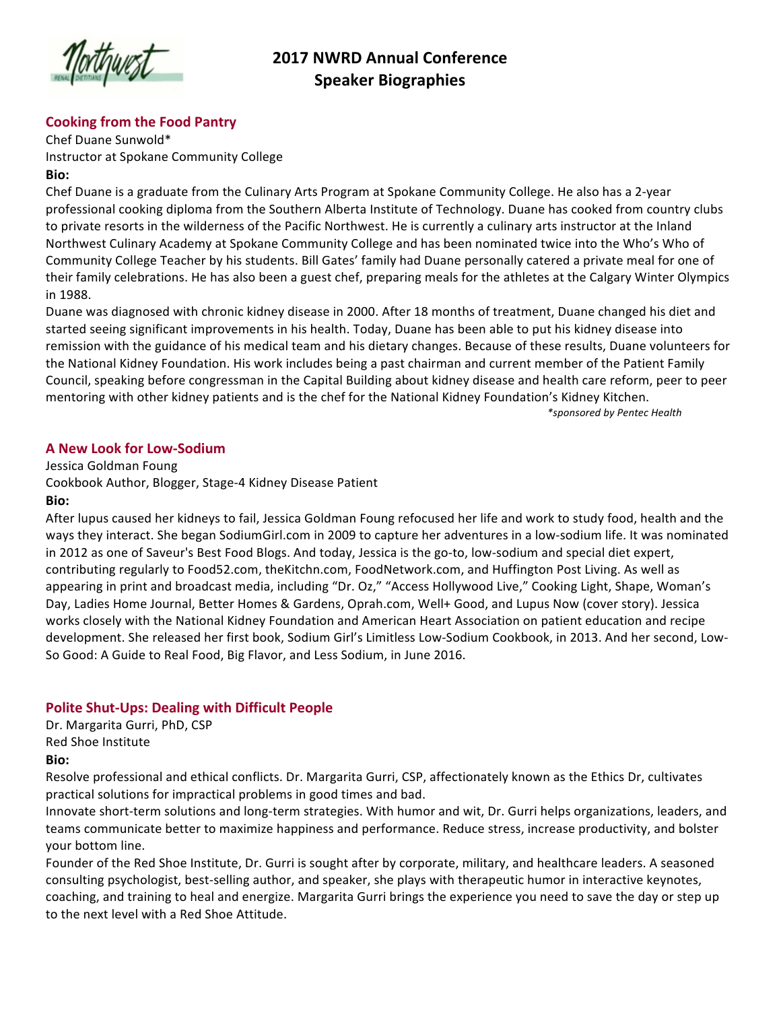

#### **2017 NWRD Annual Conference Speaker Biographies**

#### **Cooking from the Food Pantry**

Chef Duane Sunwold\* Instructor at Spokane Community College **Bio:** 

Chef Duane is a graduate from the Culinary Arts Program at Spokane Community College. He also has a 2-year professional cooking diploma from the Southern Alberta Institute of Technology. Duane has cooked from country clubs to private resorts in the wilderness of the Pacific Northwest. He is currently a culinary arts instructor at the Inland Northwest Culinary Academy at Spokane Community College and has been nominated twice into the Who's Who of Community College Teacher by his students. Bill Gates' family had Duane personally catered a private meal for one of their family celebrations. He has also been a guest chef, preparing meals for the athletes at the Calgary Winter Olympics in 1988. 

Duane was diagnosed with chronic kidney disease in 2000. After 18 months of treatment, Duane changed his diet and started seeing significant improvements in his health. Today, Duane has been able to put his kidney disease into remission with the guidance of his medical team and his dietary changes. Because of these results, Duane volunteers for the National Kidney Foundation. His work includes being a past chairman and current member of the Patient Family Council, speaking before congressman in the Capital Building about kidney disease and health care reform, peer to peer mentoring with other kidney patients and is the chef for the National Kidney Foundation's Kidney Kitchen.

 *\*sponsored by Pentec Health*

#### **A New Look for Low-Sodium**

Jessica Goldman Foung

Cookbook Author, Blogger, Stage-4 Kidney Disease Patient 

#### **Bio:**

After lupus caused her kidneys to fail, Jessica Goldman Foung refocused her life and work to study food, health and the ways they interact. She began SodiumGirl.com in 2009 to capture her adventures in a low-sodium life. It was nominated in 2012 as one of Saveur's Best Food Blogs. And today, Jessica is the go-to, low-sodium and special diet expert, contributing regularly to Food52.com, theKitchn.com, FoodNetwork.com, and Huffington Post Living. As well as appearing in print and broadcast media, including "Dr. Oz," "Access Hollywood Live," Cooking Light, Shape, Woman's Day, Ladies Home Journal, Better Homes & Gardens, Oprah.com, Well+ Good, and Lupus Now (cover story). Jessica works closely with the National Kidney Foundation and American Heart Association on patient education and recipe development. She released her first book, Sodium Girl's Limitless Low-Sodium Cookbook, in 2013. And her second, Low-So Good: A Guide to Real Food, Big Flavor, and Less Sodium, in June 2016.

#### **Polite Shut-Ups: Dealing with Difficult People**

Dr. Margarita Gurri, PhD, CSP Red Shoe Institute **Bio:** 

Resolve professional and ethical conflicts. Dr. Margarita Gurri, CSP, affectionately known as the Ethics Dr, cultivates practical solutions for impractical problems in good times and bad.

Innovate short-term solutions and long-term strategies. With humor and wit, Dr. Gurri helps organizations, leaders, and teams communicate better to maximize happiness and performance. Reduce stress, increase productivity, and bolster your bottom line.

Founder of the Red Shoe Institute, Dr. Gurri is sought after by corporate, military, and healthcare leaders. A seasoned consulting psychologist, best-selling author, and speaker, she plays with therapeutic humor in interactive keynotes, coaching, and training to heal and energize. Margarita Gurri brings the experience you need to save the day or step up to the next level with a Red Shoe Attitude.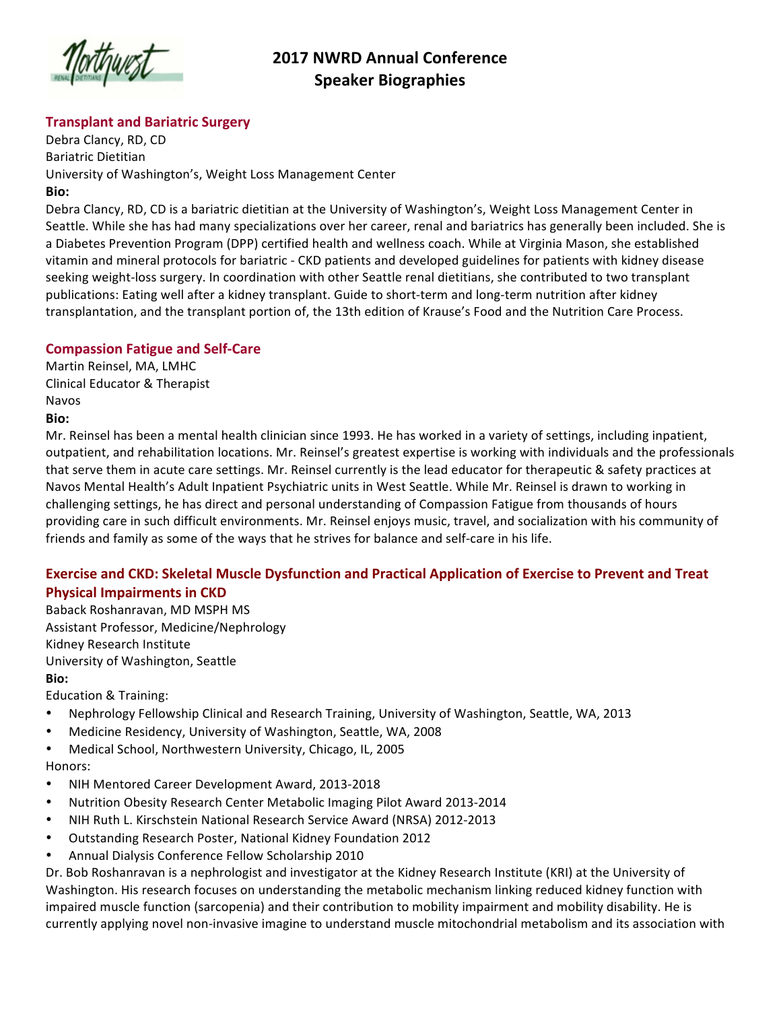

#### **2017 NWRD Annual Conference Speaker Biographies**

#### **Transplant and Bariatric Surgery**

Debra Clancy, RD, CD Bariatric Dietitian University of Washington's, Weight Loss Management Center **Bio:** 

Debra Clancy, RD, CD is a bariatric dietitian at the University of Washington's, Weight Loss Management Center in Seattle. While she has had many specializations over her career, renal and bariatrics has generally been included. She is a Diabetes Prevention Program (DPP) certified health and wellness coach. While at Virginia Mason, she established vitamin and mineral protocols for bariatric - CKD patients and developed guidelines for patients with kidney disease seeking weight-loss surgery. In coordination with other Seattle renal dietitians, she contributed to two transplant publications: Eating well after a kidney transplant. Guide to short-term and long-term nutrition after kidney transplantation, and the transplant portion of, the 13th edition of Krause's Food and the Nutrition Care Process.

#### **Compassion Fatigue and Self-Care**

Martin Reinsel, MA, LMHC Clinical Educator & Therapist Navos **Bio:** 

Mr. Reinsel has been a mental health clinician since 1993. He has worked in a variety of settings, including inpatient, outpatient, and rehabilitation locations. Mr. Reinsel's greatest expertise is working with individuals and the professionals that serve them in acute care settings. Mr. Reinsel currently is the lead educator for therapeutic & safety practices at Navos Mental Health's Adult Inpatient Psychiatric units in West Seattle. While Mr. Reinsel is drawn to working in challenging settings, he has direct and personal understanding of Compassion Fatigue from thousands of hours providing care in such difficult environments. Mr. Reinsel enjoys music, travel, and socialization with his community of friends and family as some of the ways that he strives for balance and self-care in his life.

#### **Exercise and CKD: Skeletal Muscle Dysfunction and Practical Application of Exercise to Prevent and Treat Physical Impairments in CKD**

Baback Roshanravan, MD MSPH MS Assistant Professor, Medicine/Nephrology Kidney Research Institute University of Washington, Seattle

#### **Bio:**

Education & Training:

- Nephrology Fellowship Clinical and Research Training, University of Washington, Seattle, WA, 2013
- Medicine Residency, University of Washington, Seattle, WA, 2008
- Medical School, Northwestern University, Chicago, IL, 2005
- Honors:
- NIH Mentored Career Development Award, 2013-2018
- Nutrition Obesity Research Center Metabolic Imaging Pilot Award 2013-2014
- NIH Ruth L. Kirschstein National Research Service Award (NRSA) 2012-2013
- Outstanding Research Poster, National Kidney Foundation 2012
- Annual Dialysis Conference Fellow Scholarship 2010

Dr. Bob Roshanravan is a nephrologist and investigator at the Kidney Research Institute (KRI) at the University of Washington. His research focuses on understanding the metabolic mechanism linking reduced kidney function with impaired muscle function (sarcopenia) and their contribution to mobility impairment and mobility disability. He is currently applying novel non-invasive imagine to understand muscle mitochondrial metabolism and its association with